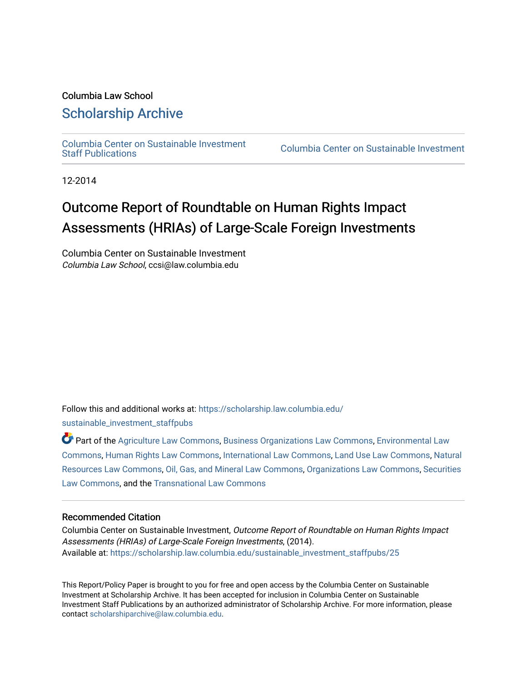#### Columbia Law School [Scholarship Archive](https://scholarship.law.columbia.edu/)

[Columbia Center on Sustainable Investment](https://scholarship.law.columbia.edu/sustainable_investment_staffpubs) 

Columbia Center on Sustainable Investment

12-2014

### Outcome Report of Roundtable on Human Rights Impact Assessments (HRIAs) of Large-Scale Foreign Investments

Columbia Center on Sustainable Investment Columbia Law School, ccsi@law.columbia.edu

Follow this and additional works at: [https://scholarship.law.columbia.edu/](https://scholarship.law.columbia.edu/sustainable_investment_staffpubs?utm_source=scholarship.law.columbia.edu%2Fsustainable_investment_staffpubs%2F25&utm_medium=PDF&utm_campaign=PDFCoverPages) [sustainable\\_investment\\_staffpubs](https://scholarship.law.columbia.edu/sustainable_investment_staffpubs?utm_source=scholarship.law.columbia.edu%2Fsustainable_investment_staffpubs%2F25&utm_medium=PDF&utm_campaign=PDFCoverPages)

Part of the [Agriculture Law Commons](http://network.bepress.com/hgg/discipline/581?utm_source=scholarship.law.columbia.edu%2Fsustainable_investment_staffpubs%2F25&utm_medium=PDF&utm_campaign=PDFCoverPages), [Business Organizations Law Commons,](http://network.bepress.com/hgg/discipline/900?utm_source=scholarship.law.columbia.edu%2Fsustainable_investment_staffpubs%2F25&utm_medium=PDF&utm_campaign=PDFCoverPages) [Environmental Law](http://network.bepress.com/hgg/discipline/599?utm_source=scholarship.law.columbia.edu%2Fsustainable_investment_staffpubs%2F25&utm_medium=PDF&utm_campaign=PDFCoverPages) [Commons](http://network.bepress.com/hgg/discipline/599?utm_source=scholarship.law.columbia.edu%2Fsustainable_investment_staffpubs%2F25&utm_medium=PDF&utm_campaign=PDFCoverPages), [Human Rights Law Commons,](http://network.bepress.com/hgg/discipline/847?utm_source=scholarship.law.columbia.edu%2Fsustainable_investment_staffpubs%2F25&utm_medium=PDF&utm_campaign=PDFCoverPages) [International Law Commons,](http://network.bepress.com/hgg/discipline/609?utm_source=scholarship.law.columbia.edu%2Fsustainable_investment_staffpubs%2F25&utm_medium=PDF&utm_campaign=PDFCoverPages) [Land Use Law Commons,](http://network.bepress.com/hgg/discipline/852?utm_source=scholarship.law.columbia.edu%2Fsustainable_investment_staffpubs%2F25&utm_medium=PDF&utm_campaign=PDFCoverPages) [Natural](http://network.bepress.com/hgg/discipline/863?utm_source=scholarship.law.columbia.edu%2Fsustainable_investment_staffpubs%2F25&utm_medium=PDF&utm_campaign=PDFCoverPages)  [Resources Law Commons](http://network.bepress.com/hgg/discipline/863?utm_source=scholarship.law.columbia.edu%2Fsustainable_investment_staffpubs%2F25&utm_medium=PDF&utm_campaign=PDFCoverPages), [Oil, Gas, and Mineral Law Commons](http://network.bepress.com/hgg/discipline/864?utm_source=scholarship.law.columbia.edu%2Fsustainable_investment_staffpubs%2F25&utm_medium=PDF&utm_campaign=PDFCoverPages), [Organizations Law Commons,](http://network.bepress.com/hgg/discipline/865?utm_source=scholarship.law.columbia.edu%2Fsustainable_investment_staffpubs%2F25&utm_medium=PDF&utm_campaign=PDFCoverPages) [Securities](http://network.bepress.com/hgg/discipline/619?utm_source=scholarship.law.columbia.edu%2Fsustainable_investment_staffpubs%2F25&utm_medium=PDF&utm_campaign=PDFCoverPages)  [Law Commons,](http://network.bepress.com/hgg/discipline/619?utm_source=scholarship.law.columbia.edu%2Fsustainable_investment_staffpubs%2F25&utm_medium=PDF&utm_campaign=PDFCoverPages) and the [Transnational Law Commons](http://network.bepress.com/hgg/discipline/1123?utm_source=scholarship.law.columbia.edu%2Fsustainable_investment_staffpubs%2F25&utm_medium=PDF&utm_campaign=PDFCoverPages) 

#### Recommended Citation

Columbia Center on Sustainable Investment, Outcome Report of Roundtable on Human Rights Impact Assessments (HRIAs) of Large-Scale Foreign Investments, (2014). Available at: [https://scholarship.law.columbia.edu/sustainable\\_investment\\_staffpubs/25](https://scholarship.law.columbia.edu/sustainable_investment_staffpubs/25?utm_source=scholarship.law.columbia.edu%2Fsustainable_investment_staffpubs%2F25&utm_medium=PDF&utm_campaign=PDFCoverPages)

This Report/Policy Paper is brought to you for free and open access by the Columbia Center on Sustainable Investment at Scholarship Archive. It has been accepted for inclusion in Columbia Center on Sustainable Investment Staff Publications by an authorized administrator of Scholarship Archive. For more information, please contact [scholarshiparchive@law.columbia.edu.](mailto:scholarshiparchive@law.columbia.edu)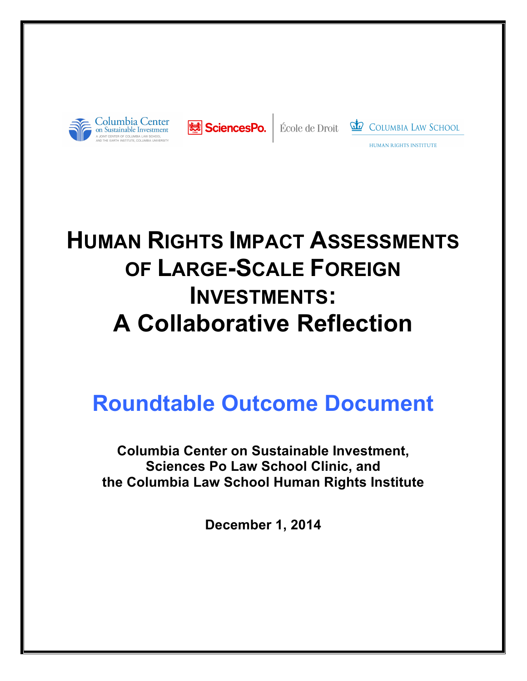





HUMAN RIGHTS INSTITUTE

# **HUMAN RIGHTS IMPACT ASSESSMENTS OF LARGE-SCALE FOREIGN INVESTMENTS: A Collaborative Reflection**

## **Roundtable Outcome Document**

**Columbia Center on Sustainable Investment, Sciences Po Law School Clinic, and the Columbia Law School Human Rights Institute**

**December 1, 2014**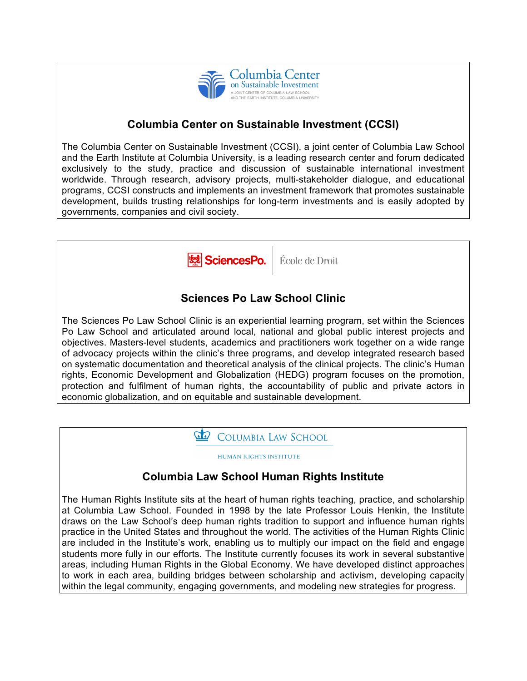

#### **Columbia Center on Sustainable Investment (CCSI)**

The Columbia Center on Sustainable Investment (CCSI), a joint center of Columbia Law School and the Earth Institute at Columbia University, is a leading research center and forum dedicated exclusively to the study, practice and discussion of sustainable international investment worldwide. Through research, advisory projects, multi-stakeholder dialogue, and educational programs, CCSI constructs and implements an investment framework that promotes sustainable development, builds trusting relationships for long-term investments and is easily adopted by governments, companies and civil society.



HUMAN RIGHTS INSTITUTE **Columbia Law School Human Rights Institute** The Human Rights Institute sits at the heart of human rights teaching, practice, and scholarship at Columbia Law School. Founded in 1998 by the late Professor Louis Henkin, the Institute draws on the Law School's deep human rights tradition to support and influence human rights practice in the United States and throughout the world. The activities of the Human Rights Clinic are included in the Institute's work, enabling us to multiply our impact on the field and engage students more fully in our efforts. The Institute currently focuses its work in several substantive areas, including Human Rights in the Global Economy. We have developed distinct approaches to work in each area, building bridges between scholarship and activism, developing capacity within the legal community, engaging governments, and modeling new strategies for progress.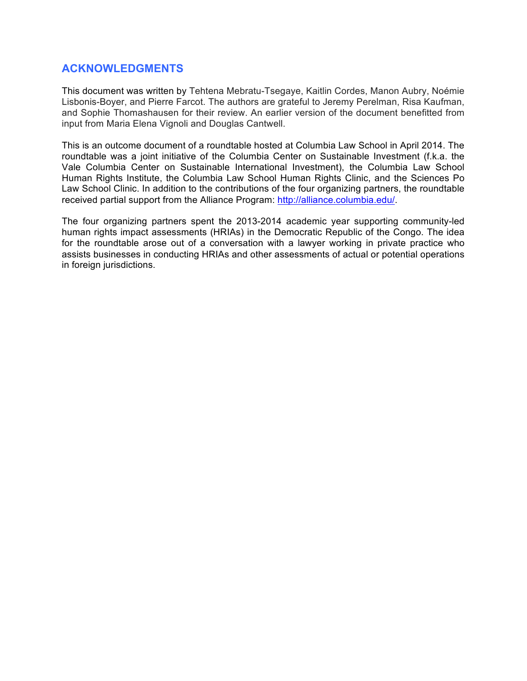#### **ACKNOWLEDGMENTS**

This document was written by Tehtena Mebratu-Tsegaye, Kaitlin Cordes, Manon Aubry, Noémie Lisbonis-Boyer, and Pierre Farcot. The authors are grateful to Jeremy Perelman, Risa Kaufman, and Sophie Thomashausen for their review. An earlier version of the document benefitted from input from Maria Elena Vignoli and Douglas Cantwell.

This is an outcome document of a roundtable hosted at Columbia Law School in April 2014. The roundtable was a joint initiative of the Columbia Center on Sustainable Investment (f.k.a. the Vale Columbia Center on Sustainable International Investment), the Columbia Law School Human Rights Institute, the Columbia Law School Human Rights Clinic, and the Sciences Po Law School Clinic. In addition to the contributions of the four organizing partners, the roundtable received partial support from the Alliance Program: http://alliance.columbia.edu/.

The four organizing partners spent the 2013-2014 academic year supporting community-led human rights impact assessments (HRIAs) in the Democratic Republic of the Congo. The idea for the roundtable arose out of a conversation with a lawyer working in private practice who assists businesses in conducting HRIAs and other assessments of actual or potential operations in foreign jurisdictions.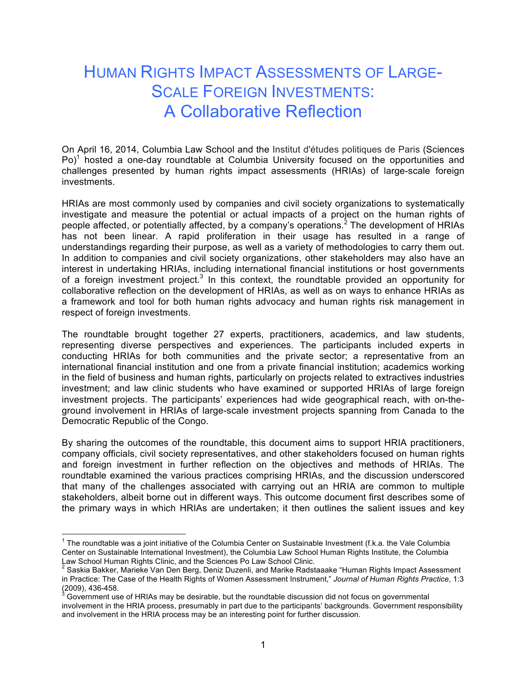## HUMAN RIGHTS IMPACT ASSESSMENTS OF LARGE-SCALE FOREIGN INVESTMENTS: A Collaborative Reflection

On April 16, 2014, Columbia Law School and the Institut d'études politiques de Paris (Sciences  $Po)^1$  hosted a one-day roundtable at Columbia University focused on the opportunities and challenges presented by human rights impact assessments (HRIAs) of large-scale foreign investments.

HRIAs are most commonly used by companies and civil society organizations to systematically investigate and measure the potential or actual impacts of a project on the human rights of people affected, or potentially affected, by a company's operations.<sup>2</sup> The development of HRIAs has not been linear. A rapid proliferation in their usage has resulted in a range of understandings regarding their purpose, as well as a variety of methodologies to carry them out. In addition to companies and civil society organizations, other stakeholders may also have an interest in undertaking HRIAs, including international financial institutions or host governments of a foreign investment project.<sup>3</sup> In this context, the roundtable provided an opportunity for collaborative reflection on the development of HRIAs, as well as on ways to enhance HRIAs as a framework and tool for both human rights advocacy and human rights risk management in respect of foreign investments.

The roundtable brought together 27 experts, practitioners, academics, and law students, representing diverse perspectives and experiences. The participants included experts in conducting HRIAs for both communities and the private sector; a representative from an international financial institution and one from a private financial institution; academics working in the field of business and human rights, particularly on projects related to extractives industries investment; and law clinic students who have examined or supported HRIAs of large foreign investment projects. The participants' experiences had wide geographical reach, with on-theground involvement in HRIAs of large-scale investment projects spanning from Canada to the Democratic Republic of the Congo.

By sharing the outcomes of the roundtable, this document aims to support HRIA practitioners, company officials, civil society representatives, and other stakeholders focused on human rights and foreign investment in further reflection on the objectives and methods of HRIAs. The roundtable examined the various practices comprising HRIAs, and the discussion underscored that many of the challenges associated with carrying out an HRIA are common to multiple stakeholders, albeit borne out in different ways. This outcome document first describes some of the primary ways in which HRIAs are undertaken; it then outlines the salient issues and key

 $1$  The roundtable was a joint initiative of the Columbia Center on Sustainable Investment (f.k.a. the Vale Columbia Center on Sustainable International Investment), the Columbia Law School Human Rights Institute, the Columbia

Law School Human Rights Clinic, and the Sciences Political And Marike Radstaaake "Human Rights Impact Assessment in Practice: The Case of the Health Rights of Women Assessment Instrument," *Journal of Human Rights Practice*, 1:3 (2009), 436-458.<br><sup>3</sup> Government use of HRIAs may be desirable, but the roundtable discussion did not focus on governmental

involvement in the HRIA process, presumably in part due to the participants' backgrounds. Government responsibility and involvement in the HRIA process may be an interesting point for further discussion.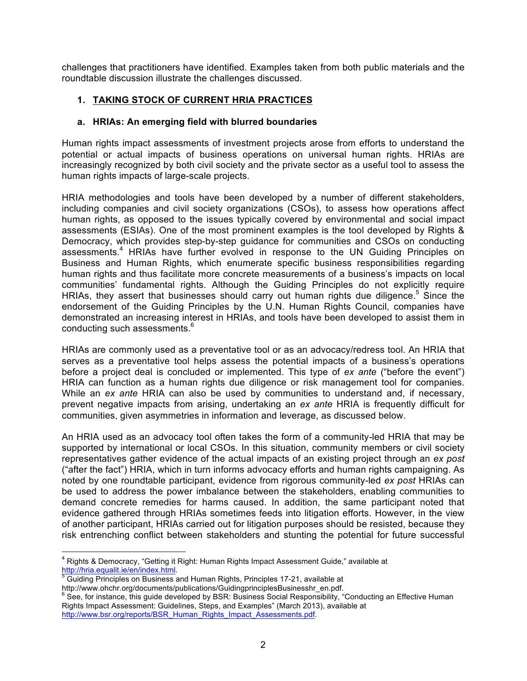challenges that practitioners have identified. Examples taken from both public materials and the roundtable discussion illustrate the challenges discussed.

#### **1. TAKING STOCK OF CURRENT HRIA PRACTICES**

#### **a. HRIAs: An emerging field with blurred boundaries**

Human rights impact assessments of investment projects arose from efforts to understand the potential or actual impacts of business operations on universal human rights. HRIAs are increasingly recognized by both civil society and the private sector as a useful tool to assess the human rights impacts of large-scale projects.

HRIA methodologies and tools have been developed by a number of different stakeholders, including companies and civil society organizations (CSOs), to assess how operations affect human rights, as opposed to the issues typically covered by environmental and social impact assessments (ESIAs). One of the most prominent examples is the tool developed by Rights & Democracy, which provides step-by-step guidance for communities and CSOs on conducting assessments.4 HRIAs have further evolved in response to the UN Guiding Principles on Business and Human Rights, which enumerate specific business responsibilities regarding human rights and thus facilitate more concrete measurements of a business's impacts on local communities' fundamental rights. Although the Guiding Principles do not explicitly require HRIAs, they assert that businesses should carry out human rights due diligence.<sup>5</sup> Since the endorsement of the Guiding Principles by the U.N. Human Rights Council, companies have demonstrated an increasing interest in HRIAs, and tools have been developed to assist them in conducting such assessments.<sup>6</sup>

HRIAs are commonly used as a preventative tool or as an advocacy/redress tool. An HRIA that serves as a preventative tool helps assess the potential impacts of a business's operations before a project deal is concluded or implemented. This type of *ex ante* ("before the event") HRIA can function as a human rights due diligence or risk management tool for companies. While an *ex ante* HRIA can also be used by communities to understand and, if necessary, prevent negative impacts from arising, undertaking an *ex ante* HRIA is frequently difficult for communities, given asymmetries in information and leverage, as discussed below.

An HRIA used as an advocacy tool often takes the form of a community-led HRIA that may be supported by international or local CSOs. In this situation, community members or civil society representatives gather evidence of the actual impacts of an existing project through an *ex post*  ("after the fact") HRIA, which in turn informs advocacy efforts and human rights campaigning. As noted by one roundtable participant, evidence from rigorous community-led *ex post* HRIAs can be used to address the power imbalance between the stakeholders, enabling communities to demand concrete remedies for harms caused. In addition, the same participant noted that evidence gathered through HRIAs sometimes feeds into litigation efforts. However, in the view of another participant, HRIAs carried out for litigation purposes should be resisted, because they risk entrenching conflict between stakeholders and stunting the potential for future successful

 $\frac{5}{6}$  Guiding Principles on Business and Human Rights, Principles 17-21, available at

<sup>&</sup>lt;sup>4</sup> Rights & Democracy, "Getting it Right: Human Rights Impact Assessment Guide," available at http://hria.equalit.ie/en/index.html.

http://www.ohchr.org/documents/publications/GuidingprinciplesBusinesshr\_en.pdf.

<sup>6</sup> See, for instance, this quide developed by BSR: Business Social Responsibility, "Conducting an Effective Human Rights Impact Assessment: Guidelines, Steps, and Examples" (March 2013), available at http://www.bsr.org/reports/BSR\_Human\_Rights\_Impact\_Assessments.pdf.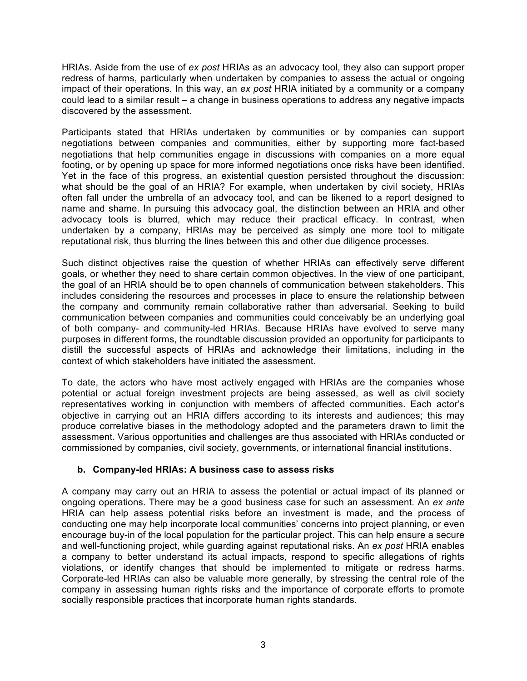HRIAs. Aside from the use of *ex post* HRIAs as an advocacy tool, they also can support proper redress of harms, particularly when undertaken by companies to assess the actual or ongoing impact of their operations. In this way, an *ex post* HRIA initiated by a community or a company could lead to a similar result – a change in business operations to address any negative impacts discovered by the assessment.

Participants stated that HRIAs undertaken by communities or by companies can support negotiations between companies and communities, either by supporting more fact-based negotiations that help communities engage in discussions with companies on a more equal footing, or by opening up space for more informed negotiations once risks have been identified. Yet in the face of this progress, an existential question persisted throughout the discussion: what should be the goal of an HRIA? For example, when undertaken by civil society, HRIAs often fall under the umbrella of an advocacy tool, and can be likened to a report designed to name and shame. In pursuing this advocacy goal, the distinction between an HRIA and other advocacy tools is blurred, which may reduce their practical efficacy. In contrast, when undertaken by a company, HRIAs may be perceived as simply one more tool to mitigate reputational risk, thus blurring the lines between this and other due diligence processes.

Such distinct objectives raise the question of whether HRIAs can effectively serve different goals, or whether they need to share certain common objectives. In the view of one participant, the goal of an HRIA should be to open channels of communication between stakeholders. This includes considering the resources and processes in place to ensure the relationship between the company and community remain collaborative rather than adversarial. Seeking to build communication between companies and communities could conceivably be an underlying goal of both company- and community-led HRIAs. Because HRIAs have evolved to serve many purposes in different forms, the roundtable discussion provided an opportunity for participants to distill the successful aspects of HRIAs and acknowledge their limitations, including in the context of which stakeholders have initiated the assessment.

To date, the actors who have most actively engaged with HRIAs are the companies whose potential or actual foreign investment projects are being assessed, as well as civil society representatives working in conjunction with members of affected communities. Each actor's objective in carrying out an HRIA differs according to its interests and audiences; this may produce correlative biases in the methodology adopted and the parameters drawn to limit the assessment. Various opportunities and challenges are thus associated with HRIAs conducted or commissioned by companies, civil society, governments, or international financial institutions.

#### **b. Company-led HRIAs: A business case to assess risks**

A company may carry out an HRIA to assess the potential or actual impact of its planned or ongoing operations. There may be a good business case for such an assessment. An *ex ante* HRIA can help assess potential risks before an investment is made, and the process of conducting one may help incorporate local communities' concerns into project planning, or even encourage buy-in of the local population for the particular project. This can help ensure a secure and well-functioning project, while guarding against reputational risks. An *ex post* HRIA enables a company to better understand its actual impacts, respond to specific allegations of rights violations, or identify changes that should be implemented to mitigate or redress harms. Corporate-led HRIAs can also be valuable more generally, by stressing the central role of the company in assessing human rights risks and the importance of corporate efforts to promote socially responsible practices that incorporate human rights standards.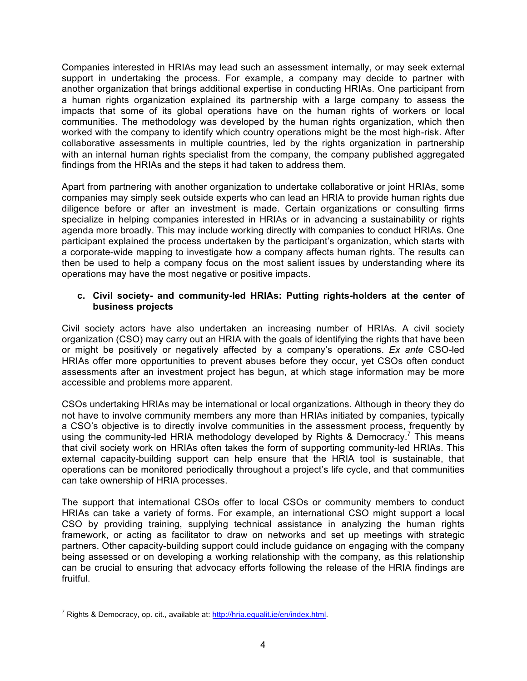Companies interested in HRIAs may lead such an assessment internally, or may seek external support in undertaking the process. For example, a company may decide to partner with another organization that brings additional expertise in conducting HRIAs. One participant from a human rights organization explained its partnership with a large company to assess the impacts that some of its global operations have on the human rights of workers or local communities. The methodology was developed by the human rights organization, which then worked with the company to identify which country operations might be the most high-risk. After collaborative assessments in multiple countries, led by the rights organization in partnership with an internal human rights specialist from the company, the company published aggregated findings from the HRIAs and the steps it had taken to address them.

Apart from partnering with another organization to undertake collaborative or joint HRIAs, some companies may simply seek outside experts who can lead an HRIA to provide human rights due diligence before or after an investment is made. Certain organizations or consulting firms specialize in helping companies interested in HRIAs or in advancing a sustainability or rights agenda more broadly. This may include working directly with companies to conduct HRIAs. One participant explained the process undertaken by the participant's organization, which starts with a corporate-wide mapping to investigate how a company affects human rights. The results can then be used to help a company focus on the most salient issues by understanding where its operations may have the most negative or positive impacts.

#### **c. Civil society- and community-led HRIAs: Putting rights-holders at the center of business projects**

Civil society actors have also undertaken an increasing number of HRIAs. A civil society organization (CSO) may carry out an HRIA with the goals of identifying the rights that have been or might be positively or negatively affected by a company's operations. *Ex ante* CSO-led HRIAs offer more opportunities to prevent abuses before they occur, yet CSOs often conduct assessments after an investment project has begun, at which stage information may be more accessible and problems more apparent.

CSOs undertaking HRIAs may be international or local organizations. Although in theory they do not have to involve community members any more than HRIAs initiated by companies, typically a CSO's objective is to directly involve communities in the assessment process, frequently by using the community-led HRIA methodology developed by Rights & Democracy.<sup>7</sup> This means that civil society work on HRIAs often takes the form of supporting community-led HRIAs. This external capacity-building support can help ensure that the HRIA tool is sustainable, that operations can be monitored periodically throughout a project's life cycle, and that communities can take ownership of HRIA processes.

The support that international CSOs offer to local CSOs or community members to conduct HRIAs can take a variety of forms. For example, an international CSO might support a local CSO by providing training, supplying technical assistance in analyzing the human rights framework, or acting as facilitator to draw on networks and set up meetings with strategic partners. Other capacity-building support could include guidance on engaging with the company being assessed or on developing a working relationship with the company, as this relationship can be crucial to ensuring that advocacy efforts following the release of the HRIA findings are fruitful.

 $<sup>7</sup>$  Rights & Democracy, op. cit., available at: http://hria.equalit.ie/en/index.html.</sup>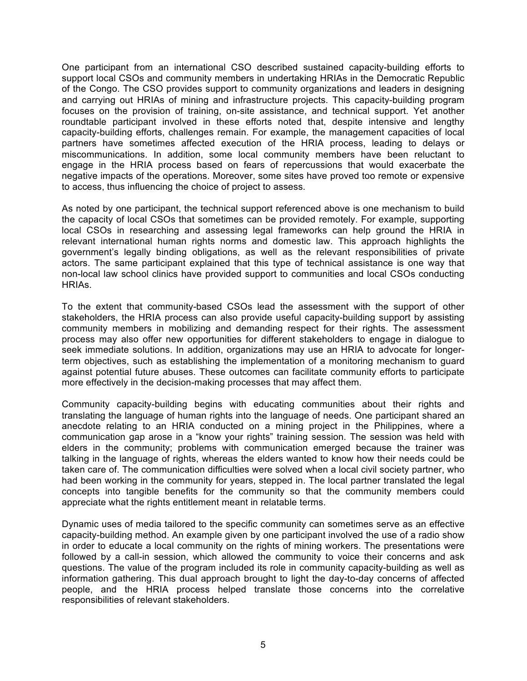One participant from an international CSO described sustained capacity-building efforts to support local CSOs and community members in undertaking HRIAs in the Democratic Republic of the Congo. The CSO provides support to community organizations and leaders in designing and carrying out HRIAs of mining and infrastructure projects. This capacity-building program focuses on the provision of training, on-site assistance, and technical support. Yet another roundtable participant involved in these efforts noted that, despite intensive and lengthy capacity-building efforts, challenges remain. For example, the management capacities of local partners have sometimes affected execution of the HRIA process, leading to delays or miscommunications. In addition, some local community members have been reluctant to engage in the HRIA process based on fears of repercussions that would exacerbate the negative impacts of the operations. Moreover, some sites have proved too remote or expensive to access, thus influencing the choice of project to assess.

As noted by one participant, the technical support referenced above is one mechanism to build the capacity of local CSOs that sometimes can be provided remotely. For example, supporting local CSOs in researching and assessing legal frameworks can help ground the HRIA in relevant international human rights norms and domestic law. This approach highlights the government's legally binding obligations, as well as the relevant responsibilities of private actors. The same participant explained that this type of technical assistance is one way that non-local law school clinics have provided support to communities and local CSOs conducting HRIAs.

To the extent that community-based CSOs lead the assessment with the support of other stakeholders, the HRIA process can also provide useful capacity-building support by assisting community members in mobilizing and demanding respect for their rights. The assessment process may also offer new opportunities for different stakeholders to engage in dialogue to seek immediate solutions. In addition, organizations may use an HRIA to advocate for longerterm objectives, such as establishing the implementation of a monitoring mechanism to guard against potential future abuses. These outcomes can facilitate community efforts to participate more effectively in the decision-making processes that may affect them.

Community capacity-building begins with educating communities about their rights and translating the language of human rights into the language of needs. One participant shared an anecdote relating to an HRIA conducted on a mining project in the Philippines, where a communication gap arose in a "know your rights" training session. The session was held with elders in the community; problems with communication emerged because the trainer was talking in the language of rights, whereas the elders wanted to know how their needs could be taken care of. The communication difficulties were solved when a local civil society partner, who had been working in the community for years, stepped in. The local partner translated the legal concepts into tangible benefits for the community so that the community members could appreciate what the rights entitlement meant in relatable terms.

Dynamic uses of media tailored to the specific community can sometimes serve as an effective capacity-building method. An example given by one participant involved the use of a radio show in order to educate a local community on the rights of mining workers. The presentations were followed by a call-in session, which allowed the community to voice their concerns and ask questions. The value of the program included its role in community capacity-building as well as information gathering. This dual approach brought to light the day-to-day concerns of affected people, and the HRIA process helped translate those concerns into the correlative responsibilities of relevant stakeholders.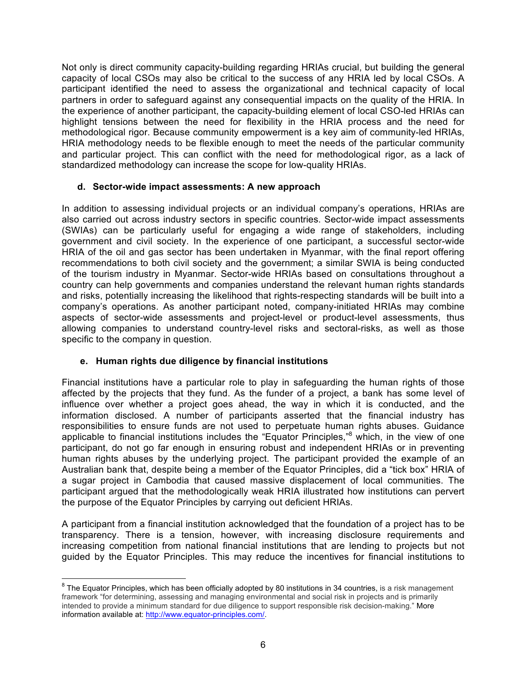Not only is direct community capacity-building regarding HRIAs crucial, but building the general capacity of local CSOs may also be critical to the success of any HRIA led by local CSOs. A participant identified the need to assess the organizational and technical capacity of local partners in order to safeguard against any consequential impacts on the quality of the HRIA. In the experience of another participant, the capacity-building element of local CSO-led HRIAs can highlight tensions between the need for flexibility in the HRIA process and the need for methodological rigor. Because community empowerment is a key aim of community-led HRIAs, HRIA methodology needs to be flexible enough to meet the needs of the particular community and particular project. This can conflict with the need for methodological rigor, as a lack of standardized methodology can increase the scope for low-quality HRIAs.

#### **d. Sector-wide impact assessments: A new approach**

In addition to assessing individual projects or an individual company's operations, HRIAs are also carried out across industry sectors in specific countries. Sector-wide impact assessments (SWIAs) can be particularly useful for engaging a wide range of stakeholders, including government and civil society. In the experience of one participant, a successful sector-wide HRIA of the oil and gas sector has been undertaken in Myanmar, with the final report offering recommendations to both civil society and the government; a similar SWIA is being conducted of the tourism industry in Myanmar. Sector-wide HRIAs based on consultations throughout a country can help governments and companies understand the relevant human rights standards and risks, potentially increasing the likelihood that rights-respecting standards will be built into a company's operations. As another participant noted, company-initiated HRIAs may combine aspects of sector-wide assessments and project-level or product-level assessments, thus allowing companies to understand country-level risks and sectoral-risks, as well as those specific to the company in question.

#### **e. Human rights due diligence by financial institutions**

Financial institutions have a particular role to play in safeguarding the human rights of those affected by the projects that they fund. As the funder of a project, a bank has some level of influence over whether a project goes ahead, the way in which it is conducted, and the information disclosed. A number of participants asserted that the financial industry has responsibilities to ensure funds are not used to perpetuate human rights abuses. Guidance applicable to financial institutions includes the "Equator Principles,"<sup>8</sup> which, in the view of one participant, do not go far enough in ensuring robust and independent HRIAs or in preventing human rights abuses by the underlying project. The participant provided the example of an Australian bank that, despite being a member of the Equator Principles, did a "tick box" HRIA of a sugar project in Cambodia that caused massive displacement of local communities. The participant argued that the methodologically weak HRIA illustrated how institutions can pervert the purpose of the Equator Principles by carrying out deficient HRIAs.

A participant from a financial institution acknowledged that the foundation of a project has to be transparency. There is a tension, however, with increasing disclosure requirements and increasing competition from national financial institutions that are lending to projects but not guided by the Equator Principles. This may reduce the incentives for financial institutions to

 $8$  The Equator Principles, which has been officially adopted by 80 institutions in 34 countries, is a risk management framework "for determining, assessing and managing environmental and social risk in projects and is primarily intended to provide a minimum standard for due diligence to support responsible risk decision-making." More information available at: http://www.equator-principles.com/.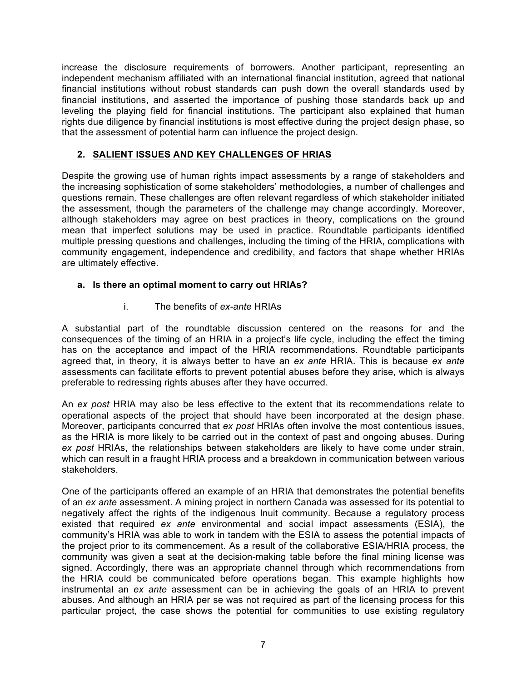increase the disclosure requirements of borrowers. Another participant, representing an independent mechanism affiliated with an international financial institution, agreed that national financial institutions without robust standards can push down the overall standards used by financial institutions, and asserted the importance of pushing those standards back up and leveling the playing field for financial institutions. The participant also explained that human rights due diligence by financial institutions is most effective during the project design phase, so that the assessment of potential harm can influence the project design.

#### **2. SALIENT ISSUES AND KEY CHALLENGES OF HRIAS**

Despite the growing use of human rights impact assessments by a range of stakeholders and the increasing sophistication of some stakeholders' methodologies, a number of challenges and questions remain. These challenges are often relevant regardless of which stakeholder initiated the assessment, though the parameters of the challenge may change accordingly. Moreover, although stakeholders may agree on best practices in theory, complications on the ground mean that imperfect solutions may be used in practice. Roundtable participants identified multiple pressing questions and challenges, including the timing of the HRIA, complications with community engagement, independence and credibility, and factors that shape whether HRIAs are ultimately effective.

#### **a. Is there an optimal moment to carry out HRIAs?**

i. The benefits of *ex-ante* HRIAs

A substantial part of the roundtable discussion centered on the reasons for and the consequences of the timing of an HRIA in a project's life cycle, including the effect the timing has on the acceptance and impact of the HRIA recommendations. Roundtable participants agreed that, in theory, it is always better to have an *ex ante* HRIA. This is because *ex ante* assessments can facilitate efforts to prevent potential abuses before they arise, which is always preferable to redressing rights abuses after they have occurred.

An *ex post* HRIA may also be less effective to the extent that its recommendations relate to operational aspects of the project that should have been incorporated at the design phase. Moreover, participants concurred that *ex post* HRIAs often involve the most contentious issues, as the HRIA is more likely to be carried out in the context of past and ongoing abuses. During *ex post* HRIAs, the relationships between stakeholders are likely to have come under strain, which can result in a fraught HRIA process and a breakdown in communication between various stakeholders.

One of the participants offered an example of an HRIA that demonstrates the potential benefits of an *ex ante* assessment. A mining project in northern Canada was assessed for its potential to negatively affect the rights of the indigenous Inuit community. Because a regulatory process existed that required *ex ante* environmental and social impact assessments (ESIA), the community's HRIA was able to work in tandem with the ESIA to assess the potential impacts of the project prior to its commencement. As a result of the collaborative ESIA/HRIA process, the community was given a seat at the decision-making table before the final mining license was signed. Accordingly, there was an appropriate channel through which recommendations from the HRIA could be communicated before operations began. This example highlights how instrumental an *ex ante* assessment can be in achieving the goals of an HRIA to prevent abuses. And although an HRIA per se was not required as part of the licensing process for this particular project, the case shows the potential for communities to use existing regulatory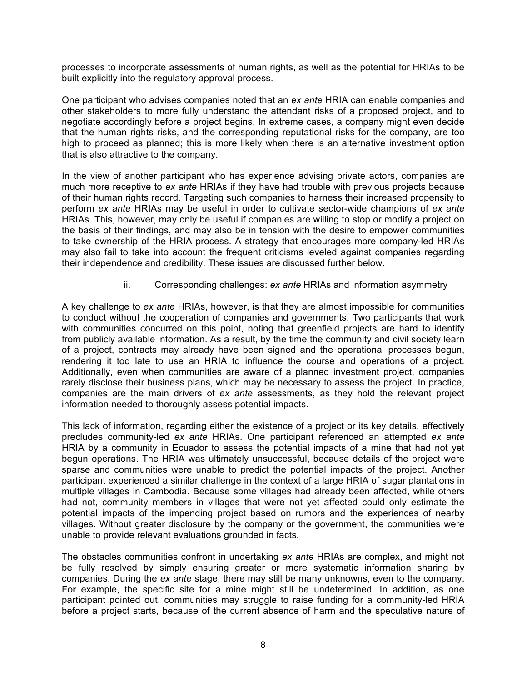processes to incorporate assessments of human rights, as well as the potential for HRIAs to be built explicitly into the regulatory approval process.

One participant who advises companies noted that an *ex ante* HRIA can enable companies and other stakeholders to more fully understand the attendant risks of a proposed project, and to negotiate accordingly before a project begins. In extreme cases, a company might even decide that the human rights risks, and the corresponding reputational risks for the company, are too high to proceed as planned; this is more likely when there is an alternative investment option that is also attractive to the company.

In the view of another participant who has experience advising private actors, companies are much more receptive to *ex ante* HRIAs if they have had trouble with previous projects because of their human rights record. Targeting such companies to harness their increased propensity to perform *ex ante* HRIAs may be useful in order to cultivate sector-wide champions of *ex ante* HRIAs. This, however, may only be useful if companies are willing to stop or modify a project on the basis of their findings, and may also be in tension with the desire to empower communities to take ownership of the HRIA process. A strategy that encourages more company-led HRIAs may also fail to take into account the frequent criticisms leveled against companies regarding their independence and credibility. These issues are discussed further below.

#### ii. Corresponding challenges: *ex ante* HRIAs and information asymmetry

A key challenge to *ex ante* HRIAs, however, is that they are almost impossible for communities to conduct without the cooperation of companies and governments. Two participants that work with communities concurred on this point, noting that greenfield projects are hard to identify from publicly available information. As a result, by the time the community and civil society learn of a project, contracts may already have been signed and the operational processes begun, rendering it too late to use an HRIA to influence the course and operations of a project. Additionally, even when communities are aware of a planned investment project, companies rarely disclose their business plans, which may be necessary to assess the project. In practice, companies are the main drivers of *ex ante* assessments, as they hold the relevant project information needed to thoroughly assess potential impacts.

This lack of information, regarding either the existence of a project or its key details, effectively precludes community-led *ex ante* HRIAs. One participant referenced an attempted *ex ante*  HRIA by a community in Ecuador to assess the potential impacts of a mine that had not yet begun operations. The HRIA was ultimately unsuccessful, because details of the project were sparse and communities were unable to predict the potential impacts of the project. Another participant experienced a similar challenge in the context of a large HRIA of sugar plantations in multiple villages in Cambodia. Because some villages had already been affected, while others had not, community members in villages that were not yet affected could only estimate the potential impacts of the impending project based on rumors and the experiences of nearby villages. Without greater disclosure by the company or the government, the communities were unable to provide relevant evaluations grounded in facts.

The obstacles communities confront in undertaking *ex ante* HRIAs are complex, and might not be fully resolved by simply ensuring greater or more systematic information sharing by companies. During the *ex ante* stage, there may still be many unknowns, even to the company. For example, the specific site for a mine might still be undetermined. In addition, as one participant pointed out, communities may struggle to raise funding for a community-led HRIA before a project starts, because of the current absence of harm and the speculative nature of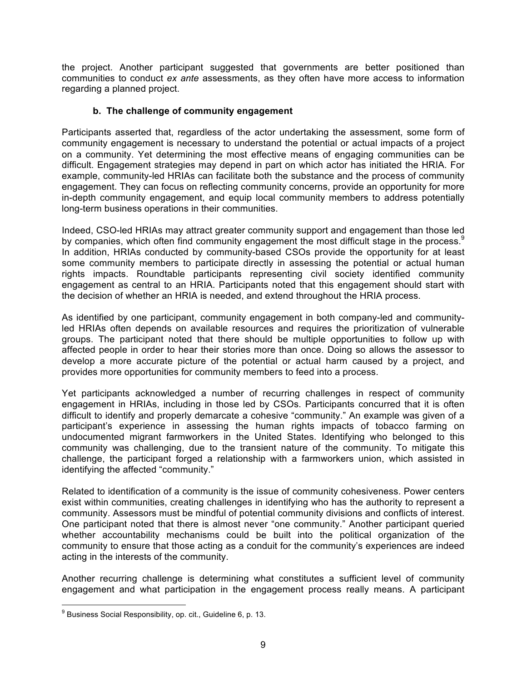the project. Another participant suggested that governments are better positioned than communities to conduct *ex ante* assessments, as they often have more access to information regarding a planned project.

#### **b. The challenge of community engagement**

Participants asserted that, regardless of the actor undertaking the assessment, some form of community engagement is necessary to understand the potential or actual impacts of a project on a community. Yet determining the most effective means of engaging communities can be difficult. Engagement strategies may depend in part on which actor has initiated the HRIA. For example, community-led HRIAs can facilitate both the substance and the process of community engagement. They can focus on reflecting community concerns, provide an opportunity for more in-depth community engagement, and equip local community members to address potentially long-term business operations in their communities.

Indeed, CSO-led HRIAs may attract greater community support and engagement than those led by companies, which often find community engagement the most difficult stage in the process.<sup>9</sup> In addition, HRIAs conducted by community-based CSOs provide the opportunity for at least some community members to participate directly in assessing the potential or actual human rights impacts. Roundtable participants representing civil society identified community engagement as central to an HRIA. Participants noted that this engagement should start with the decision of whether an HRIA is needed, and extend throughout the HRIA process.

As identified by one participant, community engagement in both company-led and communityled HRIAs often depends on available resources and requires the prioritization of vulnerable groups. The participant noted that there should be multiple opportunities to follow up with affected people in order to hear their stories more than once. Doing so allows the assessor to develop a more accurate picture of the potential or actual harm caused by a project, and provides more opportunities for community members to feed into a process.

Yet participants acknowledged a number of recurring challenges in respect of community engagement in HRIAs, including in those led by CSOs. Participants concurred that it is often difficult to identify and properly demarcate a cohesive "community." An example was given of a participant's experience in assessing the human rights impacts of tobacco farming on undocumented migrant farmworkers in the United States. Identifying who belonged to this community was challenging, due to the transient nature of the community. To mitigate this challenge, the participant forged a relationship with a farmworkers union, which assisted in identifying the affected "community."

Related to identification of a community is the issue of community cohesiveness. Power centers exist within communities, creating challenges in identifying who has the authority to represent a community. Assessors must be mindful of potential community divisions and conflicts of interest. One participant noted that there is almost never "one community." Another participant queried whether accountability mechanisms could be built into the political organization of the community to ensure that those acting as a conduit for the community's experiences are indeed acting in the interests of the community.

Another recurring challenge is determining what constitutes a sufficient level of community engagement and what participation in the engagement process really means. A participant

 $9^9$  Business Social Responsibility, op. cit., Guideline 6, p. 13.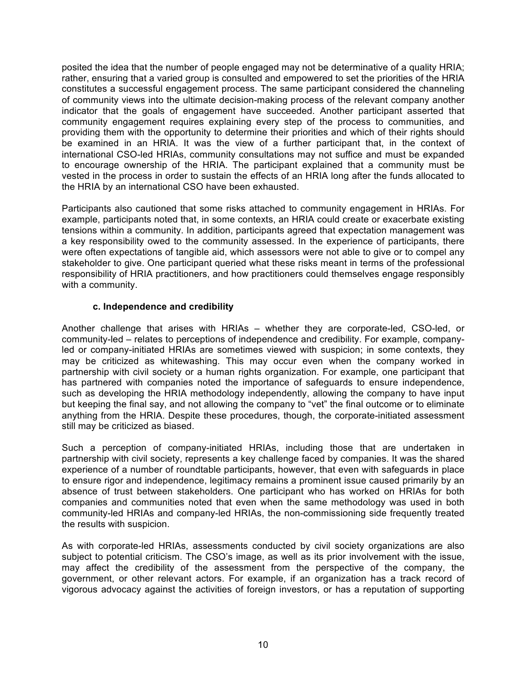posited the idea that the number of people engaged may not be determinative of a quality HRIA; rather, ensuring that a varied group is consulted and empowered to set the priorities of the HRIA constitutes a successful engagement process. The same participant considered the channeling of community views into the ultimate decision-making process of the relevant company another indicator that the goals of engagement have succeeded. Another participant asserted that community engagement requires explaining every step of the process to communities, and providing them with the opportunity to determine their priorities and which of their rights should be examined in an HRIA. It was the view of a further participant that, in the context of international CSO-led HRIAs, community consultations may not suffice and must be expanded to encourage ownership of the HRIA. The participant explained that a community must be vested in the process in order to sustain the effects of an HRIA long after the funds allocated to the HRIA by an international CSO have been exhausted.

Participants also cautioned that some risks attached to community engagement in HRIAs. For example, participants noted that, in some contexts, an HRIA could create or exacerbate existing tensions within a community. In addition, participants agreed that expectation management was a key responsibility owed to the community assessed. In the experience of participants, there were often expectations of tangible aid, which assessors were not able to give or to compel any stakeholder to give. One participant queried what these risks meant in terms of the professional responsibility of HRIA practitioners, and how practitioners could themselves engage responsibly with a community.

#### **c. Independence and credibility**

Another challenge that arises with HRIAs – whether they are corporate-led, CSO-led, or community-led – relates to perceptions of independence and credibility. For example, companyled or company-initiated HRIAs are sometimes viewed with suspicion; in some contexts, they may be criticized as whitewashing. This may occur even when the company worked in partnership with civil society or a human rights organization. For example, one participant that has partnered with companies noted the importance of safeguards to ensure independence, such as developing the HRIA methodology independently, allowing the company to have input but keeping the final say, and not allowing the company to "vet" the final outcome or to eliminate anything from the HRIA. Despite these procedures, though, the corporate-initiated assessment still may be criticized as biased.

Such a perception of company-initiated HRIAs, including those that are undertaken in partnership with civil society, represents a key challenge faced by companies. It was the shared experience of a number of roundtable participants, however, that even with safeguards in place to ensure rigor and independence, legitimacy remains a prominent issue caused primarily by an absence of trust between stakeholders. One participant who has worked on HRIAs for both companies and communities noted that even when the same methodology was used in both community-led HRIAs and company-led HRIAs, the non-commissioning side frequently treated the results with suspicion.

As with corporate-led HRIAs, assessments conducted by civil society organizations are also subject to potential criticism. The CSO's image, as well as its prior involvement with the issue, may affect the credibility of the assessment from the perspective of the company, the government, or other relevant actors. For example, if an organization has a track record of vigorous advocacy against the activities of foreign investors, or has a reputation of supporting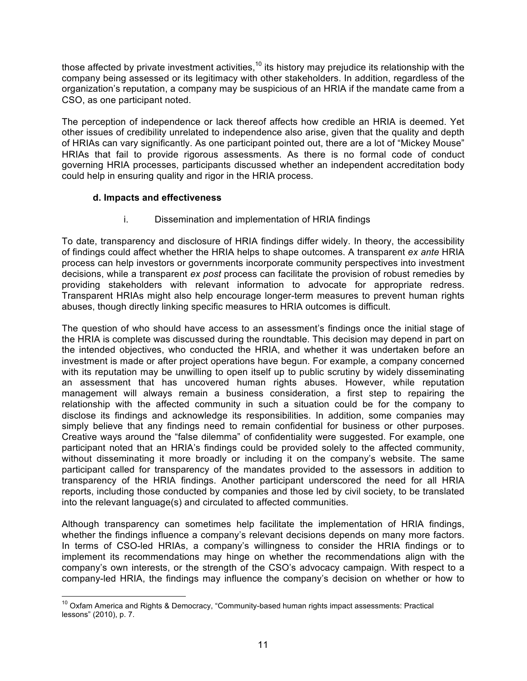those affected by private investment activities, $10$  its history may prejudice its relationship with the company being assessed or its legitimacy with other stakeholders. In addition, regardless of the organization's reputation, a company may be suspicious of an HRIA if the mandate came from a CSO, as one participant noted.

The perception of independence or lack thereof affects how credible an HRIA is deemed. Yet other issues of credibility unrelated to independence also arise, given that the quality and depth of HRIAs can vary significantly. As one participant pointed out, there are a lot of "Mickey Mouse" HRIAs that fail to provide rigorous assessments. As there is no formal code of conduct governing HRIA processes, participants discussed whether an independent accreditation body could help in ensuring quality and rigor in the HRIA process.

#### **d. Impacts and effectiveness**

i. Dissemination and implementation of HRIA findings

To date, transparency and disclosure of HRIA findings differ widely. In theory, the accessibility of findings could affect whether the HRIA helps to shape outcomes. A transparent *ex ante* HRIA process can help investors or governments incorporate community perspectives into investment decisions, while a transparent *ex post* process can facilitate the provision of robust remedies by providing stakeholders with relevant information to advocate for appropriate redress. Transparent HRIAs might also help encourage longer-term measures to prevent human rights abuses, though directly linking specific measures to HRIA outcomes is difficult.

The question of who should have access to an assessment's findings once the initial stage of the HRIA is complete was discussed during the roundtable. This decision may depend in part on the intended objectives, who conducted the HRIA, and whether it was undertaken before an investment is made or after project operations have begun. For example, a company concerned with its reputation may be unwilling to open itself up to public scrutiny by widely disseminating an assessment that has uncovered human rights abuses. However, while reputation management will always remain a business consideration, a first step to repairing the relationship with the affected community in such a situation could be for the company to disclose its findings and acknowledge its responsibilities. In addition, some companies may simply believe that any findings need to remain confidential for business or other purposes. Creative ways around the "false dilemma" of confidentiality were suggested. For example, one participant noted that an HRIA's findings could be provided solely to the affected community, without disseminating it more broadly or including it on the company's website. The same participant called for transparency of the mandates provided to the assessors in addition to transparency of the HRIA findings. Another participant underscored the need for all HRIA reports, including those conducted by companies and those led by civil society, to be translated into the relevant language(s) and circulated to affected communities.

Although transparency can sometimes help facilitate the implementation of HRIA findings, whether the findings influence a company's relevant decisions depends on many more factors. In terms of CSO-led HRIAs, a company's willingness to consider the HRIA findings or to implement its recommendations may hinge on whether the recommendations align with the company's own interests, or the strength of the CSO's advocacy campaign. With respect to a company-led HRIA, the findings may influence the company's decision on whether or how to

<sup>&</sup>lt;sup>10</sup> Oxfam America and Rights & Democracy, "Community-based human rights impact assessments: Practical lessons" (2010), p. 7.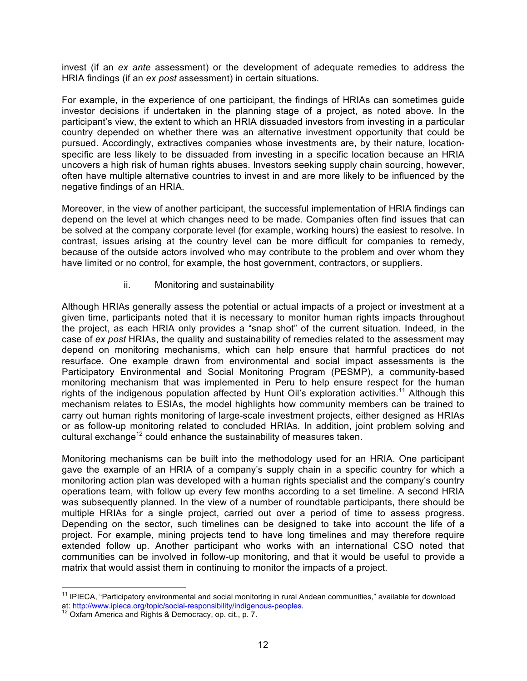invest (if an *ex ante* assessment) or the development of adequate remedies to address the HRIA findings (if an *ex post* assessment) in certain situations.

For example, in the experience of one participant, the findings of HRIAs can sometimes guide investor decisions if undertaken in the planning stage of a project, as noted above. In the participant's view, the extent to which an HRIA dissuaded investors from investing in a particular country depended on whether there was an alternative investment opportunity that could be pursued. Accordingly, extractives companies whose investments are, by their nature, locationspecific are less likely to be dissuaded from investing in a specific location because an HRIA uncovers a high risk of human rights abuses. Investors seeking supply chain sourcing, however, often have multiple alternative countries to invest in and are more likely to be influenced by the negative findings of an HRIA.

Moreover, in the view of another participant, the successful implementation of HRIA findings can depend on the level at which changes need to be made. Companies often find issues that can be solved at the company corporate level (for example, working hours) the easiest to resolve. In contrast, issues arising at the country level can be more difficult for companies to remedy, because of the outside actors involved who may contribute to the problem and over whom they have limited or no control, for example, the host government, contractors, or suppliers.

#### ii. Monitoring and sustainability

Although HRIAs generally assess the potential or actual impacts of a project or investment at a given time, participants noted that it is necessary to monitor human rights impacts throughout the project, as each HRIA only provides a "snap shot" of the current situation. Indeed, in the case of *ex post* HRIAs, the quality and sustainability of remedies related to the assessment may depend on monitoring mechanisms, which can help ensure that harmful practices do not resurface. One example drawn from environmental and social impact assessments is the Participatory Environmental and Social Monitoring Program (PESMP), a community-based monitoring mechanism that was implemented in Peru to help ensure respect for the human rights of the indigenous population affected by Hunt Oil's exploration activities.<sup>11</sup> Although this mechanism relates to ESIAs, the model highlights how community members can be trained to carry out human rights monitoring of large-scale investment projects, either designed as HRIAs or as follow-up monitoring related to concluded HRIAs. In addition, joint problem solving and cultural exchange<sup>12</sup> could enhance the sustainability of measures taken.

Monitoring mechanisms can be built into the methodology used for an HRIA. One participant gave the example of an HRIA of a company's supply chain in a specific country for which a monitoring action plan was developed with a human rights specialist and the company's country operations team, with follow up every few months according to a set timeline. A second HRIA was subsequently planned. In the view of a number of roundtable participants, there should be multiple HRIAs for a single project, carried out over a period of time to assess progress. Depending on the sector, such timelines can be designed to take into account the life of a project. For example, mining projects tend to have long timelines and may therefore require extended follow up. Another participant who works with an international CSO noted that communities can be involved in follow-up monitoring, and that it would be useful to provide a matrix that would assist them in continuing to monitor the impacts of a project.

<sup>&</sup>lt;sup>11</sup> IPIECA, "Participatory environmental and social monitoring in rural Andean communities," available for download at: http://www.ipieca.org/topic/social-responsibility/indigenous-peoples.<br><sup>12</sup> Oxfam America and Rights & Democracy, op. cit., p. 7.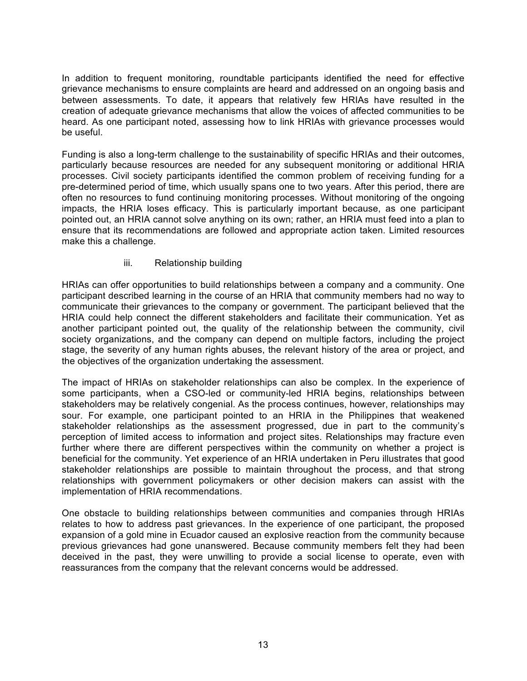In addition to frequent monitoring, roundtable participants identified the need for effective grievance mechanisms to ensure complaints are heard and addressed on an ongoing basis and between assessments. To date, it appears that relatively few HRIAs have resulted in the creation of adequate grievance mechanisms that allow the voices of affected communities to be heard. As one participant noted, assessing how to link HRIAs with grievance processes would be useful.

Funding is also a long-term challenge to the sustainability of specific HRIAs and their outcomes, particularly because resources are needed for any subsequent monitoring or additional HRIA processes. Civil society participants identified the common problem of receiving funding for a pre-determined period of time, which usually spans one to two years. After this period, there are often no resources to fund continuing monitoring processes. Without monitoring of the ongoing impacts, the HRIA loses efficacy. This is particularly important because, as one participant pointed out, an HRIA cannot solve anything on its own; rather, an HRIA must feed into a plan to ensure that its recommendations are followed and appropriate action taken. Limited resources make this a challenge.

#### iii. Relationship building

HRIAs can offer opportunities to build relationships between a company and a community. One participant described learning in the course of an HRIA that community members had no way to communicate their grievances to the company or government. The participant believed that the HRIA could help connect the different stakeholders and facilitate their communication. Yet as another participant pointed out, the quality of the relationship between the community, civil society organizations, and the company can depend on multiple factors, including the project stage, the severity of any human rights abuses, the relevant history of the area or project, and the objectives of the organization undertaking the assessment.

The impact of HRIAs on stakeholder relationships can also be complex. In the experience of some participants, when a CSO-led or community-led HRIA begins, relationships between stakeholders may be relatively congenial. As the process continues, however, relationships may sour. For example, one participant pointed to an HRIA in the Philippines that weakened stakeholder relationships as the assessment progressed, due in part to the community's perception of limited access to information and project sites. Relationships may fracture even further where there are different perspectives within the community on whether a project is beneficial for the community. Yet experience of an HRIA undertaken in Peru illustrates that good stakeholder relationships are possible to maintain throughout the process, and that strong relationships with government policymakers or other decision makers can assist with the implementation of HRIA recommendations.

One obstacle to building relationships between communities and companies through HRIAs relates to how to address past grievances. In the experience of one participant, the proposed expansion of a gold mine in Ecuador caused an explosive reaction from the community because previous grievances had gone unanswered. Because community members felt they had been deceived in the past, they were unwilling to provide a social license to operate, even with reassurances from the company that the relevant concerns would be addressed.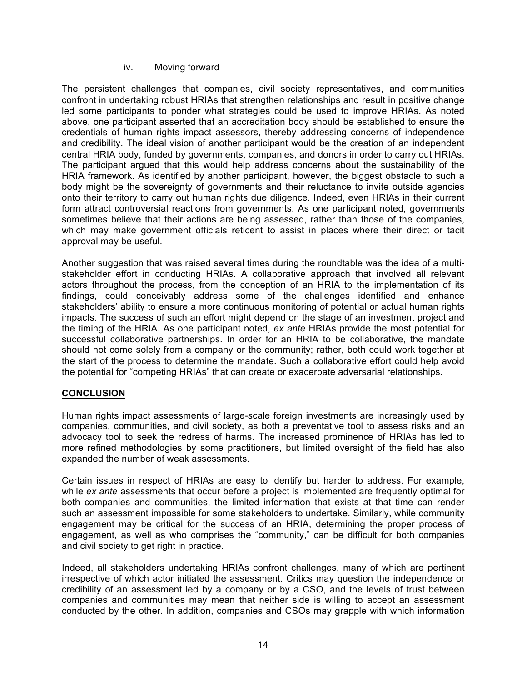#### iv. Moving forward

The persistent challenges that companies, civil society representatives, and communities confront in undertaking robust HRIAs that strengthen relationships and result in positive change led some participants to ponder what strategies could be used to improve HRIAs. As noted above, one participant asserted that an accreditation body should be established to ensure the credentials of human rights impact assessors, thereby addressing concerns of independence and credibility. The ideal vision of another participant would be the creation of an independent central HRIA body, funded by governments, companies, and donors in order to carry out HRIAs. The participant argued that this would help address concerns about the sustainability of the HRIA framework. As identified by another participant, however, the biggest obstacle to such a body might be the sovereignty of governments and their reluctance to invite outside agencies onto their territory to carry out human rights due diligence. Indeed, even HRIAs in their current form attract controversial reactions from governments. As one participant noted, governments sometimes believe that their actions are being assessed, rather than those of the companies, which may make government officials reticent to assist in places where their direct or tacit approval may be useful.

Another suggestion that was raised several times during the roundtable was the idea of a multistakeholder effort in conducting HRIAs. A collaborative approach that involved all relevant actors throughout the process, from the conception of an HRIA to the implementation of its findings, could conceivably address some of the challenges identified and enhance stakeholders' ability to ensure a more continuous monitoring of potential or actual human rights impacts. The success of such an effort might depend on the stage of an investment project and the timing of the HRIA. As one participant noted, *ex ante* HRIAs provide the most potential for successful collaborative partnerships. In order for an HRIA to be collaborative, the mandate should not come solely from a company or the community; rather, both could work together at the start of the process to determine the mandate. Such a collaborative effort could help avoid the potential for "competing HRIAs" that can create or exacerbate adversarial relationships.

#### **CONCLUSION**

Human rights impact assessments of large-scale foreign investments are increasingly used by companies, communities, and civil society, as both a preventative tool to assess risks and an advocacy tool to seek the redress of harms. The increased prominence of HRIAs has led to more refined methodologies by some practitioners, but limited oversight of the field has also expanded the number of weak assessments.

Certain issues in respect of HRIAs are easy to identify but harder to address. For example, while *ex ante* assessments that occur before a project is implemented are frequently optimal for both companies and communities, the limited information that exists at that time can render such an assessment impossible for some stakeholders to undertake. Similarly, while community engagement may be critical for the success of an HRIA, determining the proper process of engagement, as well as who comprises the "community," can be difficult for both companies and civil society to get right in practice.

Indeed, all stakeholders undertaking HRIAs confront challenges, many of which are pertinent irrespective of which actor initiated the assessment. Critics may question the independence or credibility of an assessment led by a company or by a CSO, and the levels of trust between companies and communities may mean that neither side is willing to accept an assessment conducted by the other. In addition, companies and CSOs may grapple with which information